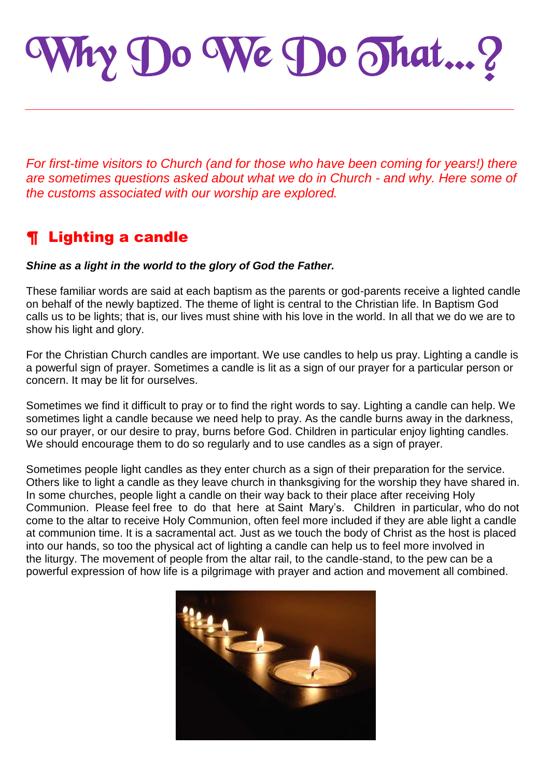Why Do We Do That…?

*\_\_\_\_\_\_\_\_\_\_\_\_\_\_\_\_\_\_\_\_\_\_\_\_\_\_\_\_\_\_\_\_\_\_\_\_\_\_\_\_\_\_\_\_\_\_\_\_\_\_\_\_\_\_\_\_\_\_\_\_\_\_\_\_\_\_\_\_*

*For first-time visitors to Church (and for those who have been coming for years!) there are sometimes questions asked about what we do in Church - and why. Here some of the customs associated with our worship are explored.*

# ¶ Lighting a candle

#### *Shine as a light in the world to the glory of God the Father.*

These familiar words are said at each baptism as the parents or god-parents receive a lighted candle on behalf of the newly baptized. The theme of light is central to the Christian life. In Baptism God calls us to be lights; that is, our lives must shine with his love in the world. In all that we do we are to show his light and glory.

For the Christian Church candles are important. We use candles to help us pray. Lighting a candle is a powerful sign of prayer. Sometimes a candle is lit as a sign of our prayer for a particular person or concern. It may be lit for ourselves.

Sometimes we find it difficult to pray or to find the right words to say. Lighting a candle can help. We sometimes light a candle because we need help to pray. As the candle burns away in the darkness, so our prayer, or our desire to pray, burns before God. Children in particular enjoy lighting candles. We should encourage them to do so regularly and to use candles as a sign of prayer.

Sometimes people light candles as they enter church as a sign of their preparation for the service. Others like to light a candle as they leave church in thanksgiving for the worship they have shared in. In some churches, people light a candle on their way back to their place after receiving Holy Communion. Please feel free to do that here at Saint Mary"s. Children in particular, who do not come to the altar to receive Holy Communion, often feel more included if they are able light a candle at communion time. It is a sacramental act. Just as we touch the body of Christ as the host is placed into our hands, so too the physical act of lighting a candle can help us to feel more involved in the liturgy. The movement of people from the altar rail, to the candle-stand, to the pew can be a powerful expression of how life is a pilgrimage with prayer and action and movement all combined.

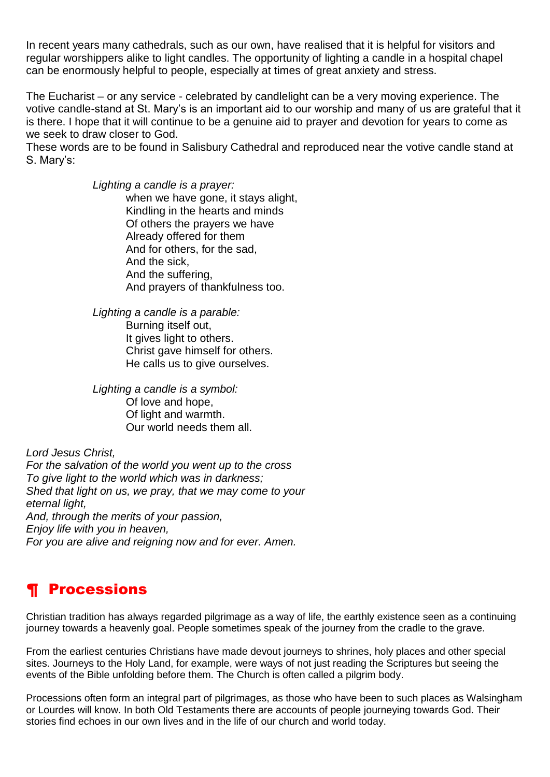In recent years many cathedrals, such as our own, have realised that it is helpful for visitors and regular worshippers alike to light candles. The opportunity of lighting a candle in a hospital chapel can be enormously helpful to people, especially at times of great anxiety and stress.

The Eucharist – or any service - celebrated by candlelight can be a very moving experience. The votive candle-stand at St. Mary"s is an important aid to our worship and many of us are grateful that it is there. I hope that it will continue to be a genuine aid to prayer and devotion for years to come as we seek to draw closer to God.

These words are to be found in Salisbury Cathedral and reproduced near the votive candle stand at S. Marv's:

> *Lighting a candle is a prayer:* when we have gone, it stays alight, Kindling in the hearts and minds Of others the prayers we have Already offered for them And for others, for the sad, And the sick, And the suffering, And prayers of thankfulness too.

*Lighting a candle is a parable:* Burning itself out, It gives light to others. Christ gave himself for others. He calls us to give ourselves.

*Lighting a candle is a symbol:* Of love and hope, Of light and warmth. Our world needs them all.

*Lord Jesus Christ, For the salvation of the world you went up to the cross To give light to the world which was in darkness; Shed that light on us, we pray, that we may come to your eternal light, And, through the merits of your passion, Enjoy life with you in heaven, For you are alive and reigning now and for ever. Amen.*

## ¶ Processions

Christian tradition has always regarded pilgrimage as a way of life, the earthly existence seen as a continuing journey towards a heavenly goal. People sometimes speak of the journey from the cradle to the grave.

From the earliest centuries Christians have made devout journeys to shrines, holy places and other special sites. Journeys to the Holy Land, for example, were ways of not just reading the Scriptures but seeing the events of the Bible unfolding before them. The Church is often called a pilgrim body.

Processions often form an integral part of pilgrimages, as those who have been to such places as Walsingham or Lourdes will know. In both Old Testaments there are accounts of people journeying towards God. Their stories find echoes in our own lives and in the life of our church and world today.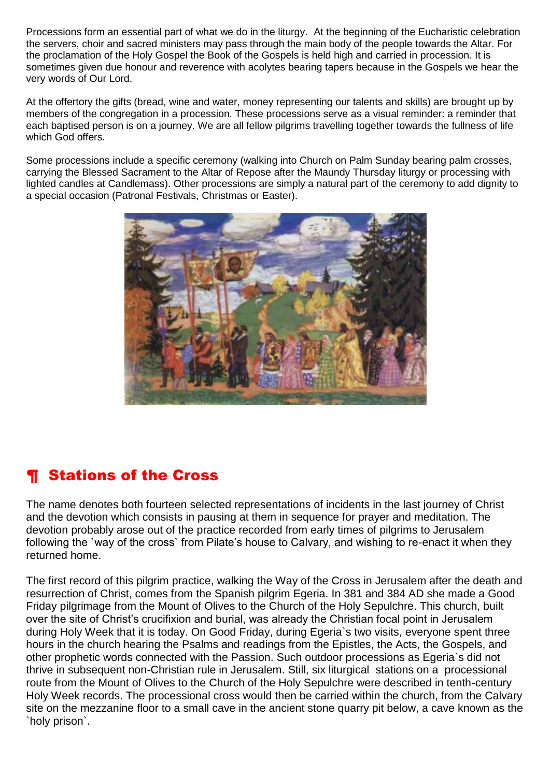Processions form an essential part of what we do in the liturgy. At the beginning of the Eucharistic celebration the servers, choir and sacred ministers may pass through the main body of the people towards the Altar. For the proclamation of the Holy Gospel the Book of the Gospels is held high and carried in procession. It is sometimes given due honour and reverence with acolytes bearing tapers because in the Gospels we hear the very words of Our Lord.

At the offertory the gifts (bread, wine and water, money representing our talents and skills) are brought up by members of the congregation in a procession. These processions serve as a visual reminder: a reminder that each baptised person is on a journey. We are all fellow pilgrims travelling together towards the fullness of life which God offers.

Some processions include a specific ceremony (walking into Church on Palm Sunday bearing palm crosses, carrying the Blessed Sacrament to the Altar of Repose after the Maundy Thursday liturgy or processing with lighted candles at Candlemass). Other processions are simply a natural part of the ceremony to add dignity to a special occasion (Patronal Festivals, Christmas or Easter).



## ¶ Stations of the Cross

The name denotes both fourteen selected representations of incidents in the last journey of Christ and the devotion which consists in pausing at them in sequence for prayer and meditation. The devotion probably arose out of the practice recorded from early times of pilgrims to Jerusalem following the `way of the cross` from Pilate's house to Calvary, and wishing to re-enact it when they returned home.

The first record of this pilgrim practice, walking the Way of the Cross in Jerusalem after the death and resurrection of Christ, comes from the Spanish pilgrim Egeria. In 381 and 384 AD she made a Good Friday pilgrimage from the Mount of Olives to the Church of the Holy Sepulchre. This church, built over the site of Christ"s crucifixion and burial, was already the Christian focal point in Jerusalem during Holy Week that it is today. On Good Friday, during Egeria`s two visits, everyone spent three hours in the church hearing the Psalms and readings from the Epistles, the Acts, the Gospels, and other prophetic words connected with the Passion. Such outdoor processions as Egeria`s did not thrive in subsequent non-Christian rule in Jerusalem. Still, six liturgical stations on a processional route from the Mount of Olives to the Church of the Holy Sepulchre were described in tenth-century Holy Week records. The processional cross would then be carried within the church, from the Calvary site on the mezzanine floor to a small cave in the ancient stone quarry pit below, a cave known as the `holy prison`.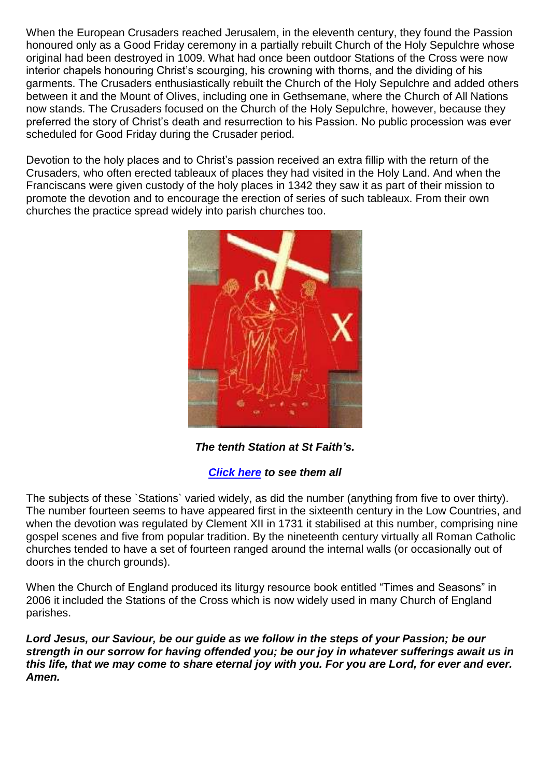When the European Crusaders reached Jerusalem, in the eleventh century, they found the Passion honoured only as a Good Friday ceremony in a partially rebuilt Church of the Holy Sepulchre whose original had been destroyed in 1009. What had once been outdoor Stations of the Cross were now interior chapels honouring Christ's scourging, his crowning with thorns, and the dividing of his garments. The Crusaders enthusiastically rebuilt the Church of the Holy Sepulchre and added others between it and the Mount of Olives, including one in Gethsemane, where the Church of All Nations now stands. The Crusaders focused on the Church of the Holy Sepulchre, however, because they preferred the story of Christ"s death and resurrection to his Passion. No public procession was ever scheduled for Good Friday during the Crusader period.

Devotion to the holy places and to Christ"s passion received an extra fillip with the return of the Crusaders, who often erected tableaux of places they had visited in the Holy Land. And when the Franciscans were given custody of the holy places in 1342 they saw it as part of their mission to promote the devotion and to encourage the erection of series of such tableaux. From their own churches the practice spread widely into parish churches too.



*The tenth Station at St Faith's.* 

#### *[Click here](stations.html) to see them all*

The subjects of these `Stations` varied widely, as did the number (anything from five to over thirty). The number fourteen seems to have appeared first in the sixteenth century in the Low Countries, and when the devotion was regulated by Clement XII in 1731 it stabilised at this number, comprising nine gospel scenes and five from popular tradition. By the nineteenth century virtually all Roman Catholic churches tended to have a set of fourteen ranged around the internal walls (or occasionally out of doors in the church grounds).

When the Church of England produced its liturgy resource book entitled "Times and Seasons" in 2006 it included the Stations of the Cross which is now widely used in many Church of England parishes.

*Lord Jesus, our Saviour, be our guide as we follow in the steps of your Passion; be our strength in our sorrow for having offended you; be our joy in whatever sufferings await us in this life, that we may come to share eternal joy with you. For you are Lord, for ever and ever. Amen.*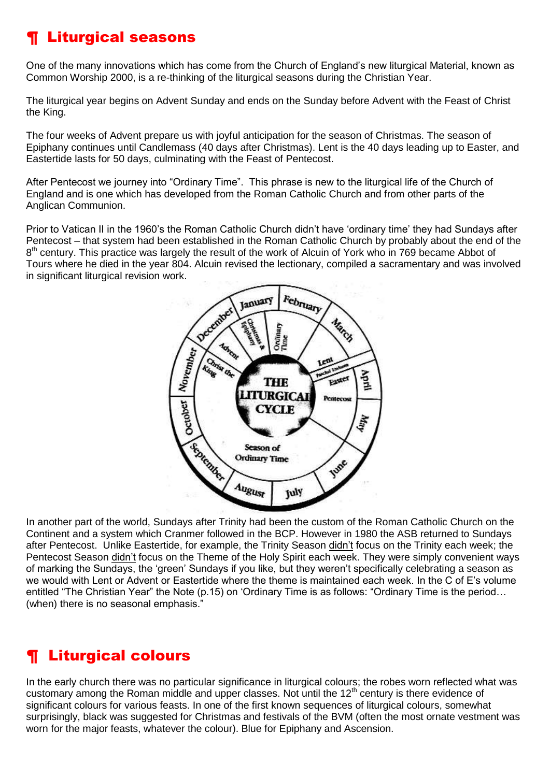# ¶ Liturgical seasons

One of the many innovations which has come from the Church of England"s new liturgical Material, known as Common Worship 2000, is a re-thinking of the liturgical seasons during the Christian Year.

The liturgical year begins on Advent Sunday and ends on the Sunday before Advent with the Feast of Christ the King.

The four weeks of Advent prepare us with joyful anticipation for the season of Christmas. The season of Epiphany continues until Candlemass (40 days after Christmas). Lent is the 40 days leading up to Easter, and Eastertide lasts for 50 days, culminating with the Feast of Pentecost.

After Pentecost we journey into "Ordinary Time". This phrase is new to the liturgical life of the Church of England and is one which has developed from the Roman Catholic Church and from other parts of the Anglican Communion.

Prior to Vatican II in the 1960's the Roman Catholic Church didn't have 'ordinary time' they had Sundays after Pentecost – that system had been established in the Roman Catholic Church by probably about the end of the 8<sup>th</sup> century. This practice was largely the result of the work of Alcuin of York who in 769 became Abbot of Tours where he died in the year 804. Alcuin revised the lectionary, compiled a sacramentary and was involved in significant liturgical revision work.



In another part of the world, Sundays after Trinity had been the custom of the Roman Catholic Church on the Continent and a system which Cranmer followed in the BCP. However in 1980 the ASB returned to Sundays after Pentecost. Unlike Eastertide, for example, the Trinity Season didn"t focus on the Trinity each week; the Pentecost Season didn"t focus on the Theme of the Holy Spirit each week. They were simply convenient ways of marking the Sundays, the "green" Sundays if you like, but they weren"t specifically celebrating a season as we would with Lent or Advent or Eastertide where the theme is maintained each week. In the C of E"s volume entitled "The Christian Year" the Note (p.15) on "Ordinary Time is as follows: "Ordinary Time is the period… (when) there is no seasonal emphasis."

# ¶ Liturgical colours

In the early church there was no particular significance in liturgical colours; the robes worn reflected what was customary among the Roman middle and upper classes. Not until the 12<sup>th</sup> century is there evidence of significant colours for various feasts. In one of the first known sequences of liturgical colours, somewhat surprisingly, black was suggested for Christmas and festivals of the BVM (often the most ornate vestment was worn for the major feasts, whatever the colour). Blue for Epiphany and Ascension.